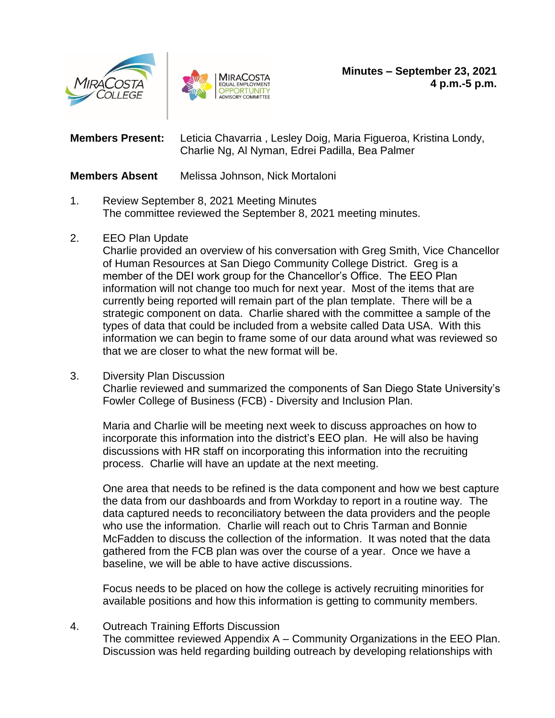



**Members Present:** Leticia Chavarria , Lesley Doig, Maria Figueroa, Kristina Londy, Charlie Ng, Al Nyman, Edrei Padilla, Bea Palmer

## **Members Absent** Melissa Johnson, Nick Mortaloni

- 1. Review September 8, 2021 Meeting Minutes The committee reviewed the September 8, 2021 meeting minutes.
- 2. EEO Plan Update

Charlie provided an overview of his conversation with Greg Smith, Vice Chancellor of Human Resources at San Diego Community College District. Greg is a member of the DEI work group for the Chancellor's Office. The EEO Plan information will not change too much for next year. Most of the items that are currently being reported will remain part of the plan template. There will be a strategic component on data. Charlie shared with the committee a sample of the types of data that could be included from a website called Data USA. With this information we can begin to frame some of our data around what was reviewed so that we are closer to what the new format will be.

3. Diversity Plan Discussion

Charlie reviewed and summarized the components of San Diego State University's Fowler College of Business (FCB) - Diversity and Inclusion Plan.

Maria and Charlie will be meeting next week to discuss approaches on how to incorporate this information into the district's EEO plan. He will also be having discussions with HR staff on incorporating this information into the recruiting process. Charlie will have an update at the next meeting.

One area that needs to be refined is the data component and how we best capture the data from our dashboards and from Workday to report in a routine way. The data captured needs to reconciliatory between the data providers and the people who use the information. Charlie will reach out to Chris Tarman and Bonnie McFadden to discuss the collection of the information. It was noted that the data gathered from the FCB plan was over the course of a year. Once we have a baseline, we will be able to have active discussions.

Focus needs to be placed on how the college is actively recruiting minorities for available positions and how this information is getting to community members.

## 4. Outreach Training Efforts Discussion

The committee reviewed Appendix A – Community Organizations in the EEO Plan. Discussion was held regarding building outreach by developing relationships with